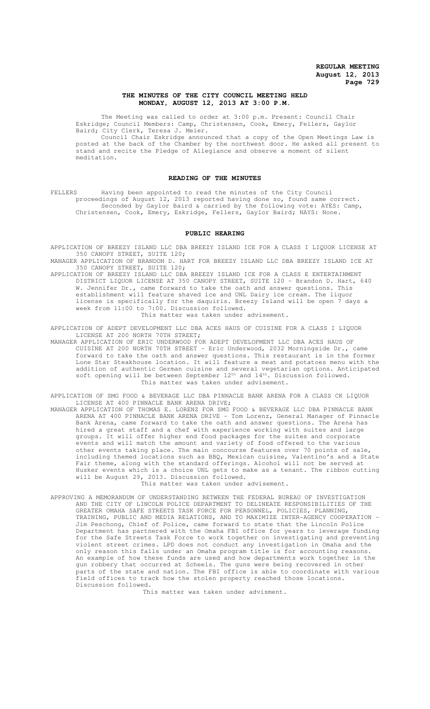### **THE MINUTES OF THE CITY COUNCIL MEETING HELD MONDAY, AUGUST 12, 2013 AT 3:00 P.M.**

The Meeting was called to order at 3:00 p.m. Present: Council Chair Eskridge; Council Members: Camp, Christensen, Cook, Emery, Fellers, Gaylor Baird; City Clerk, Teresa J. Meier.

Council Chair Eskridge announced that a copy of the Open Meetings Law is posted at the back of the Chamber by the northwest door. He asked all present to stand and recite the Pledge of Allegiance and observe a moment of silent meditation.

### **READING OF THE MINUTES**

FELLERS Having been appointed to read the minutes of the City Council proceedings of August 12, 2013 reported having done so, found same correct. Seconded by Gaylor Baird & carried by the following vote: AYES: Camp, Christensen, Cook, Emery, Eskridge, Fellers, Gaylor Baird; NAYS: None.

### **PUBLIC HEARING**

APPLICATION OF BREEZY ISLAND LLC DBA BREEZY ISLAND ICE FOR A CLASS I LIQUOR LICENSE AT 350 CANOPY STREET, SUITE 120;

MANAGER APPLICATION OF BRANDON D. HART FOR BREEZY ISLAND LLC DBA BREEZY ISLAND ICE AT 350 CANOPY STREET, SUITE 120;

APPLICATION OF BREEZY ISLAND LLC DBA BREEZY ISLAND ICE FOR A CLASS E ENTERTAINMENT DISTRICT LIQUOR LICENSE AT 350 CANOPY STREET, SUITE 120 - Brandon D. Hart, 640 W. Jennifer Dr., came forward to take the oath and answer questions. establishment will feature shaved ice and UNL Dairy ice cream. The liquor license is specifically for the daquiris. Breezy Island will be open 7 days a week from 11:00 to 7:00. Discussion followed. This matter was taken under advisement.

APPLICATION OF ADEPT DEVELOPMENT LLC DBA ACES HAUS OF CUISINE FOR A CLASS I LIQUOR LICENSE AT 200 NORTH 70TH STREET;

MANAGER APPLICATION OF ERIC UNDERWOOD FOR ADEPT DEVELOPMENT LLC DBA ACES HAUS OF CUISINE AT 200 NORTH 70TH STREET - Eric Underwood, 2032 Morningside Dr., came forward to take the oath and answer questions. This restaurant is in the former Lone Star Steakhouse location. It will feature a meat and potatoes menu with the addition of authentic German cuisine and several vegetarian options. Anticipated soft opening will be between September 12<sup>th</sup> and 14<sup>th</sup>. Discussion followed. This matter was taken under advisement.

APPLICATION OF SMG FOOD & BEVERAGE LLC DBA PINNACLE BANK ARENA FOR A CLASS CK LIQUOR LICENSE AT 400 PINNACLE BANK ARENA DRIVE;

- MANAGER APPLICATION OF THOMAS E. LORENZ FOR SMG FOOD & BEVERAGE LLC DBA PINNACLE BANK ARENA AT 400 PINNACLE BANK ARENA DRIVE - Tom Lorenz, General Manager of Pinnacle Bank Arena, came forward to take the oath and answer questions. The Arena has hired a great staff and a chef with experience working with suites and large groups. It will offer higher end food packages for the suites and corporate events and will match the amount and variety of food offered to the various other events taking place. The main concourse features over 70 points of sale, including themed locations such as BBQ, Mexican cuisine, Valentino's and a State Fair theme, along with the standard offerings. Alcohol will not be served at Husker events which is a choice UNL gets to make as a tenant. The ribbon cutting will be August 29, 2013. Discussion followed. This matter was taken under advisement.
- APPROVING A MEMORANDUM OF UNDERSTANDING BETWEEN THE FEDERAL BUREAU OF INVESTIGATION AND THE CITY OF LINCOLN POLICE DEPARTMENT TO DELINEATE RESPONSIBILITIES OF THE GREATER OMAHA SAFE STREETS TASK FORCE FOR PERSONNEL, POLICIES, PLANNING, TRAINING, PUBLIC AND MEDIA RELATIONS, AND TO MAXIMIZE INTER-AGENCY COOPERATION - Jim Peschong, Chief of Police, came forward to state that the Lincoln Police Department has partnered with the Omaha FBI office for years to leverage funding for the Safe Streets Task Force to work together on investigating and preventing violent street crimes. LPD does not conduct any investigation in Omaha and the only reason this falls under an Omaha program title is for accounting reasons. An example of how these funds are used and how departments work together is the gun robbery that occurred at Scheels. The guns were being recovered in other parts of the state and nation. The FBI office is able to coordinate with various field offices to track how the stolen property reached those locations. Discussion followed.

This matter was taken under advisment.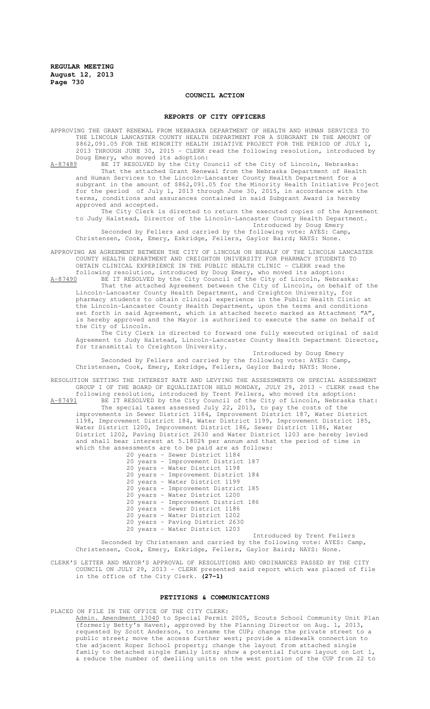# **COUNCIL ACTION**

### **REPORTS OF CITY OFFICERS**

APPROVING THE GRANT RENEWAL FROM NEBRASKA DEPARTMENT OF HEALTH AND HUMAN SERVICES TO THE LINCOLN LANCASTER COUNTY HEALTH DEPARTMENT FOR A SUBGRANT IN THE AMOUNT OF \$862,091.05 FOR THE MINORITY HEALTH INIATIVE PROJECT FOR THE PERIOD OF JULY 1, 2013 THROUGH JUNE 30, 2015 - CLERK read the following resolution, introduced by Doug Emery, who moved its adoption:

A-87489 BE IT RESOLVED by the City Council of the City of Lincoln, Nebraska: That the attached Grant Renewal from the Nebraska Department of Health and Human Services to the Lincoln-Lancaster County Health Department for a subgrant in the amount of \$862,091.05 for the Minority Health Initiative Project for the period of July 1, 2013 through June 30, 2015, in accordance with the terms, conditions and assurances contained in said Subgrant Award is hereby approved and accepted.

The City Clerk is directed to return the executed copies of the Agreement to Judy Halstead, Director of the Lincoln-Lancaster County Health Department. Introduced by Doug Emery

Seconded by Fellers and carried by the following vote: AYES: Camp, Christensen, Cook, Emery, Eskridge, Fellers, Gaylor Baird; NAYS: None.

APPROVING AN AGREEMENT BETWEEN THE CITY OF LINCOLN ON BEHALF OF THE LINCOLN LANCASTER COUNTY HEALTH DEPARTMENT AND CREIGHTON UNIVERSITY FOR PHARMACY STUDENTS TO OBTAIN CLINICAL EXPERIENCE IN THE PUBLIC HEALTH CLINIC - CLERK read the

following resolution, introduced by Doug Emery, who moved its adoption:<br>A-87490 BE IT RESOLVED by the City Council of the City of Lincoln, Nebras BE IT RESOLVED by the City Council of the City of Lincoln, Nebraska:

That the attached Agreement between the City of Lincoln, on behalf of the Lincoln-Lancaster County Health Department, and Creighton University, for pharmacy students to obtain clinical experience in the Public Health Clinic at the Lincoln-Lancaster County Health Department, upon the terms and conditions set forth in said Agreement, which is attached hereto marked as Attachment  $A''$ , is hereby approved and the Mayor is authorized to execute the same on behalf of the City of Lincoln.

The City Clerk is directed to forward one fully executed original of said Agreement to Judy Halstead, Lincoln-Lancaster County Health Department Director, for transmittal to Creighton University.

Introduced by Doug Emery Seconded by Fellers and carried by the following vote: AYES: Camp, Christensen, Cook, Emery, Eskridge, Fellers, Gaylor Baird; NAYS: None.

RESOLUTION SETTING THE INTEREST RATE AND LEVYING THE ASSESSMENTS ON SPECIAL ASSESSMENT GROUP I OF THE BOARD OF EQUALIZATION HELD MONDAY, JULY 29, 2013 - CLERK read the following resolution, introduced by Trent Fellers, who moved its adoption:

A-87491 BE IT RESOLVED by the City Council of the City of Lincoln, Nebraska that: The special taxes assessed July 22, 2013, to pay the costs of the improvements in Sewer District 1184, Improvement District 187, Water District 1198, Improvement District 184, Water District 1199, Improvement District 185, Water District 1200, Improvement District 186, Sewer District 1186, Water District 1202, Paving District 2630 and Water District 1203 are hereby levied and shall bear interest at 5.1802% per annum and that the period of time in which the assessments are to be paid are as follows:

20 years - Sewer District 1184 20 years - Improvement District 187 20 years - Water District 1198 20 years - Improvement District 184 20 years - Water District 1199 20 years - Improvement District 185 20 years - Water District 1200 20 years - Improvement District 186 20 years - Sewer District 1186 20 years - Water District 1202 20 years - Paving District 2630 20 years - Water District 1203

Introduced by Trent Fellers Seconded by Christensen and carried by the following vote: AYES: Camp, Christensen, Cook, Emery, Eskridge, Fellers, Gaylor Baird; NAYS: None.

CLERK'S LETTER AND MAYOR'S APPROVAL OF RESOLUTIONS AND ORDINANCES PASSED BY THE CITY COUNCIL ON JULY 29, 2013 - CLERK presented said report which was placed of file in the office of the City Clerk. **(27-1)**

### **PETITIONS & COMMUNICATIONS**

PLACED ON FILE IN THE OFFICE OF THE CITY CLERK: Admin. Amendment 13040 to Special Permit 2005, Scouts School Community Unit Plan Admin. Amendment 19818 to Special Flames (1991)<br>(formerly Betty's Haven), approved by the Planning Director on Aug. 1, 2013, requested by Scott Anderson, to rename the CUP; change the private street to a public street; move the access further west; provide a sidewalk connection to the adjacent Roper School property; change the layout from attached single family to detached single family lots; show a potential future layout on Lot 1, & reduce the number of dwelling units on the west portion of the CUP from 22 to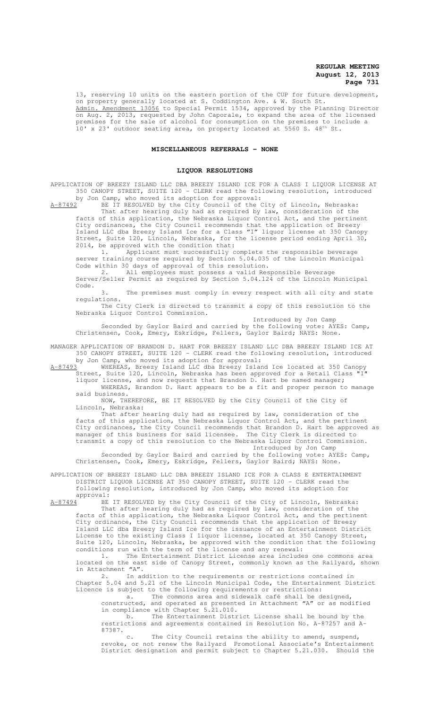13, reserving 10 units on the eastern portion of the CUP for future development, on property generally located at S. Coddington Ave. & W. South St. Admin. Amendment 13056 to Special Permit 1534, approved by the Planning Director on Aug. 2, 2013, requested by John Caporale, to expand the area of the licensed premises for the sale of alcohol for consumption on the premises to include a  $10'$  x 23' outdoor seating area, on property located at 5560 S. 48<sup>th</sup> St.

# **MISCELLANEOUS REFERRALS - NONE**

### **LIQUOR RESOLUTIONS**

APPLICATION OF BREEZY ISLAND LLC DBA BREEZY ISLAND ICE FOR A CLASS I LIQUOR LICENSE AT 350 CANOPY STREET, SUITE 120 - CLERK read the following resolution, introduced

by Jon Camp, who moved its adoption for approval:<br>A-87492 BE IT RESOLVED by the City Council of the C BE IT RESOLVED by the City Council of the City of Lincoln, Nebraska:

That after hearing duly had as required by law, consideration of the facts of this application, the Nebraska Liquor Control Act, and the pertinent City ordinances, the City Council recommends that the application of Breezy Island LLC dba Breezy Island Ice for a Class "I" liquor license at 350 Canopy Street, Suite 120, Lincoln, Nebraska, for the license period ending April 30, 2014, be approved with the condition that:

1. Applicant must successfully complete the responsible beverage server training course required by Section 5.04.035 of the Lincoln Municipal Code within 30 days of approval of this resolution.

2. All employees must possess a valid Responsible Beverage Server/Seller Permit as required by Section 5.04.124 of the Lincoln Municipal Code.

3. The premises must comply in every respect with all city and state regulations.

The City Clerk is directed to transmit a copy of this resolution to the Nebraska Liquor Control Commission.

Introduced by Jon Camp

Seconded by Gaylor Baird and carried by the following vote: AYES: Camp, Christensen, Cook, Emery, Eskridge, Fellers, Gaylor Baird; NAYS: None.

MANAGER APPLICATION OF BRANDON D. HART FOR BREEZY ISLAND LLC DBA BREEZY ISLAND ICE AT 350 CANOPY STREET, SUITE 120 - CLERK read the following resolution, introduced by Jon Camp, who moved its adoption for approval:

A-87493 WHEREAS, Breezy Island LLC dba Breezy Island Ice located at 350 Canopy Street, Suite 120, Lincoln, Nebraska has been approved for a Retail Class

liquor license, and now requests that Brandon D. Hart be named manager; WHEREAS, Brandon D. Hart appears to be a fit and proper person to manage

said business. NOW, THEREFORE, BE IT RESOLVED by the City Council of the City of Lincoln, Nebraska:

That after hearing duly had as required by law, consideration of the facts of this application, the Nebraska Liquor Control Act, and the pertinent City ordinances, the City Council recommends that Brandon D. Hart be approved as manager of this business for said licensee. The City Clerk is directed to transmit a copy of this resolution to the Nebraska Liquor Control Commission. Introduced by Jon Camp

Seconded by Gaylor Baird and carried by the following vote: AYES: Camp, Christensen, Cook, Emery, Eskridge, Fellers, Gaylor Baird; NAYS: None.

APPLICATION OF BREEZY ISLAND LLC DBA BREEZY ISLAND ICE FOR A CLASS E ENTERTAINMENT DISTRICT LIQUOR LICENSE AT 350 CANOPY STREET, SUITE 120 - CLERK read the following resolution, introduced by Jon Camp, who moved its adoption for

 $approwal:$ <br> $A-87494$  BE BE IT RESOLVED by the City Council of the City of Lincoln, Nebraska: That after hearing duly had as required by law, consideration of the facts of this application, the Nebraska Liquor Control Act, and the pertinent City ordinance, the City Council recommends that the application of Breezy Island LLC dba Breezy Island Ice for the issuance of an Entertainment District License to the existing Class I liquor license, located at 350 Canopy Street, Suite 120, Lincoln, Nebraska, be approved with the condition that the following conditions run with the term of the license and any renewal:

1. The Entertainment District License area includes one commons area located on the east side of Canopy Street, commonly known as the Railyard, shown in Attachment "A".

2. In addition to the requirements or restrictions contained in Chapter 5.04 and 5.21 of the Lincoln Municipal Code, the Entertainment District Licence is subject to the following requirements or restrictions:

a. The commons area and sidewalk café shall be designed, constructed, and operated as presented in Attachment "A" or as modified in compliance with Chapter 5.21.010.

b. The Entertainment District License shall be bound by the restrictions and agreements contained in Resolution No. A-87257 and A-87387.

c. The City Council retains the ability to amend, suspend, revoke, or not renew the Railyard Promotional Associate's Entertainment District designation and permit subject to Chapter 5.21.030. Should the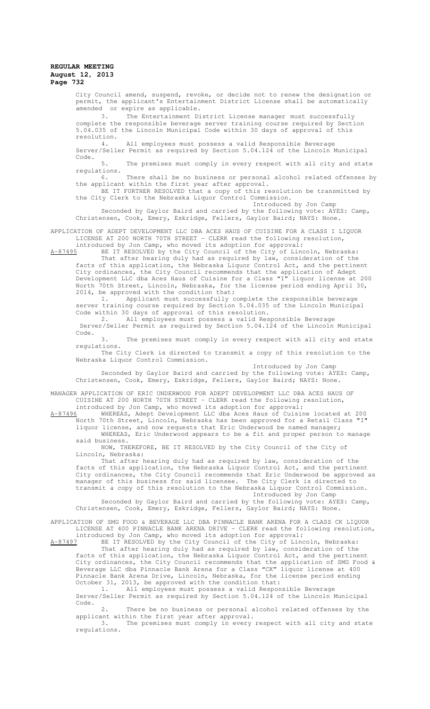City Council amend, suspend, revoke, or decide not to renew the designation or permit, the applicant's Entertainment District License shall be automatically amended or expire as applicable.<br>3. The Entertainment Di

The Entertainment District License manager must successfully complete the responsible beverage server training course required by Section 5.04.035 of the Lincoln Municipal Code within 30 days of approval of this resolution.

4. All employees must possess a valid Responsible Beverage Server/Seller Permit as required by Section 5.04.124 of the Lincoln Municipal Code.

5. The premises must comply in every respect with all city and state regulations.<br>6.

There shall be no business or personal alcohol related offenses by the applicant within the first year after approval.

BE IT FURTHER RESOLVED that a copy of this resolution be transmitted by the City Clerk to the Nebraska Liquor Control Commission. Introduced by Jon Camp

Seconded by Gaylor Baird and carried by the following vote: AYES: Camp, Christensen, Cook, Emery, Eskridge, Fellers, Gaylor Baird; NAYS: None.

APPLICATION OF ADEPT DEVELOPMENT LLC DBA ACES HAUS OF CUISINE FOR A CLASS I LIQUOR LICENSE AT 200 NORTH 70TH STREET - CLERK read the following resolution, introduced by Jon Camp, who moved its adoption for approval:

A-87495 BE IT RESOLVED by the City Council of the City of Lincoln, Nebraska: That after hearing duly had as required by law, consideration of the facts of this application, the Nebraska Liquor Control Act, and the pertinent City ordinances, the City Council recommends that the application of Adept Development LLC dba Aces Haus of Cuisine for a Class "I" liquor license at 200 North 70th Street, Lincoln, Nebraska, for the license period ending April 30, 2014, be approved with the condition that:

1. Applicant must successfully complete the responsible beverage server training course required by Section 5.04.035 of the Lincoln Municipal Code within 30 days of approval of this resolution.

2. All employees must possess a valid Responsible Beverage Server/Seller Permit as required by Section 5.04.124 of the Lincoln Municipal Code.

3. The premises must comply in every respect with all city and state regulations.

The City Clerk is directed to transmit a copy of this resolution to the Nebraska Liquor Control Commission.

Introduced by Jon Camp Seconded by Gaylor Baird and carried by the following vote: AYES: Camp, Christensen, Cook, Emery, Eskridge, Fellers, Gaylor Baird; NAYS: None.

MANAGER APPLICATION OF ERIC UNDERWOOD FOR ADEPT DEVELOPMENT LLC DBA ACES HAUS OF CUISINE AT 200 NORTH 70TH STREET - CLERK read the following resolution,

introduced by Jon Camp, who moved its adoption for approval:<br>A-87496 WHEREAS, Adept Development LLC dba Aces Haus of Cuisin WHEREAS, Adept Development LLC dba Aces Haus of Cuisine located at 200 North 70th Street, Lincoln, Nebraska has been approved for a Retail Class "I"

liquor license, and now requests that Eric Underwood be named manager; WHEREAS, Eric Underwood appears to be a fit and proper person to manage said business.

NOW, THEREFORE, BE IT RESOLVED by the City Council of the City of Lincoln, Nebraska:

That after hearing duly had as required by law, consideration of the facts of this application, the Nebraska Liquor Control Act, and the pertinent City ordinances, the City Council recommends that Eric Underwood be approved as manager of this business for said licensee. The City Clerk is directed to transmit a copy of this resolution to the Nebraska Liquor Control Commission.

Introduced by Jon Camp

Seconded by Gaylor Baird and carried by the following vote: AYES: Camp, Christensen, Cook, Emery, Eskridge, Fellers, Gaylor Baird; NAYS: None.

APPLICATION OF SMG FOOD & BEVERAGE LLC DBA PINNACLE BANK ARENA FOR A CLASS CK LIQUOR LICENSE AT 400 PINNACLE BANK ARENA DRIVE - CLERK read the following resolution, introduced by Jon Camp, who moved its adoption for approval:

A-87497 BE IT RESOLVED by the City Council of the City of Lincoln, Nebraska: That after hearing duly had as required by law, consideration of the facts of this application, the Nebraska Liquor Control Act, and the pertinent City ordinances, the City Council recommends that the application of SMG Food & Beverage LLC dba Pinnacle Bank Arena for a Class "CK" liquor license at 400 Pinnacle Bank Arena Drive, Lincoln, Nebraska, for the license period ending October 31, 2013, be approved with the condition that:

1. All employees must possess a valid Responsible Beverage Server/Seller Permit as required by Section 5.04.124 of the Lincoln Municipal Code.

2. There be no business or personal alcohol related offenses by the applicant within the first year after approval.

3. The premises must comply in every respect with all city and state regulations.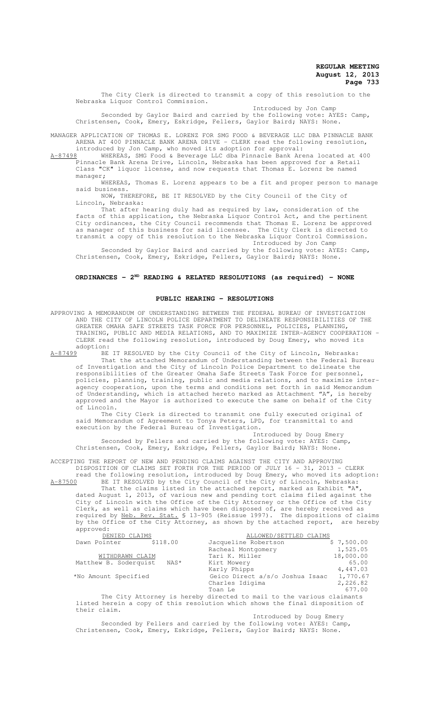The City Clerk is directed to transmit a copy of this resolution to the Nebraska Liquor Control Commission.

Introduced by Jon Camp Seconded by Gaylor Baird and carried by the following vote: AYES: Camp, Christensen, Cook, Emery, Eskridge, Fellers, Gaylor Baird; NAYS: None.

MANAGER APPLICATION OF THOMAS E. LORENZ FOR SMG FOOD & BEVERAGE LLC DBA PINNACLE BANK ARENA AT 400 PINNACLE BANK ARENA DRIVE - CLERK read the following resolution, introduced by Jon Camp, who moved its adoption for approval:

A-87498 WHEREAS, SMG Food & Beverage LLC dba Pinnacle Bank Arena located at 400 Pinnacle Bank Arena Drive, Lincoln, Nebraska has been approved for a Retail Class "CK" liquor license, and now requests that Thomas E. Lorenz be named manager;

WHEREAS, Thomas E. Lorenz appears to be a fit and proper person to manage said business.

NOW, THEREFORE, BE IT RESOLVED by the City Council of the City of Lincoln, Nebraska:

That after hearing duly had as required by law, consideration of the facts of this application, the Nebraska Liquor Control Act, and the pertinent City ordinances, the City Council recommends that Thomas E. Lorenz be approved as manager of this business for said licensee. The City Clerk is directed to transmit a copy of this resolution to the Nebraska Liquor Control Commission.

Introduced by Jon Camp

Seconded by Gaylor Baird and carried by the following vote: AYES: Camp, Christensen, Cook, Emery, Eskridge, Fellers, Gaylor Baird; NAYS: None.

# **ORDINANCES - 2ND READING & RELATED RESOLUTIONS (as required) - NONE**

### **PUBLIC HEARING - RESOLUTIONS**

APPROVING A MEMORANDUM OF UNDERSTANDING BETWEEN THE FEDERAL BUREAU OF INVESTIGATION AND THE CITY OF LINCOLN POLICE DEPARTMENT TO DELINEATE RESPONSIBILITIES OF THE GREATER OMAHA SAFE STREETS TASK FORCE FOR PERSONNEL, POLICIES, PLANNING, TRAINING, PUBLIC AND MEDIA RELATIONS, AND TO MAXIMIZE INTER-AGENCY COOPERATION - CLERK read the following resolution, introduced by Doug Emery, who moved its  $\frac{\text{adoption:}}{\text{A}-87499}$ BE

A-87499 BE IT RESOLVED by the City Council of the City of Lincoln, Nebraska: That the attached Memorandum of Understanding between the Federal Bureau of Investigation and the City of Lincoln Police Department to delineate the responsibilities of the Greater Omaha Safe Streets Task Force for personnel, policies, planning, training, public and media relations, and to maximize interagency cooperation, upon the terms and conditions set forth in said Memorandum of Understanding, which is attached hereto marked as Attachment "A", is hereby approved and the Mayor is authorized to execute the same on behalf of the City of Lincoln.

The City Clerk is directed to transmit one fully executed original of said Memorandum of Agreement to Tonya Peters, LPD, for transmittal to and execution by the Federal Bureau of Investigation.

Introduced by Doug Emery Seconded by Fellers and carried by the following vote: AYES: Camp, Christensen, Cook, Emery, Eskridge, Fellers, Gaylor Baird; NAYS: None.

ACCEPTING THE REPORT OF NEW AND PENDING CLAIMS AGAINST THE CITY AND APPROVING DISPOSITION OF CLAIMS SET FORTH FOR THE PERIOD OF JULY 16 - 31, 2013 - CLERK read the following resolution, introduced by Doug Emery, who moved its adoption:<br>A-87500 BE IT RESOLVED by the City Council of the City of Lincoln, Nebraska:

BE IT RESOLVED by the City Council of the City of Lincoln, Nebraska: That the claims listed in the attached report, marked as Exhibit "A", dated August 1, 2013, of various new and pending tort claims filed against the City of Lincoln with the Office of the City Attorney or the Office of the City Clerk, as well as claims which have been disposed of, are hereby received as required by Neb. Rev. Stat. § 13-905 (Reissue 1997). The dispositions of claims by the Office of the City Attorney, as shown by the attached report, are hereby approved:

| DENIED CLAIMS         |          | ALLOWED/SETTLED CLAIMS          |            |
|-----------------------|----------|---------------------------------|------------|
| Dawn Pointer          | \$118.00 | Jacqueline Robertson            | \$7,500.00 |
|                       |          | Racheal Montgomery              | 1,525.05   |
| WITHDRAWN CLAIM       |          | Tari K. Miller                  | 18,000.00  |
| Matthew B. Soderquist | NAS*     | Kirt Mowery                     | 65.00      |
|                       |          | Karly Phipps                    | 4,447.03   |
| *No Amount Specified  |          | Geico Direct a/s/o Joshua Isaac | 1,770.67   |
|                       |          | Charles Idigima                 | 2,226.82   |
|                       |          | Toan Le                         | 677.00     |
|                       |          |                                 |            |

The City Attorney is hereby directed to mail to the various claimants listed herein a copy of this resolution which shows the final disposition of their claim.

Introduced by Doug Emery

Seconded by Fellers and carried by the following vote: AYES: Camp, Christensen, Cook, Emery, Eskridge, Fellers, Gaylor Baird; NAYS: None.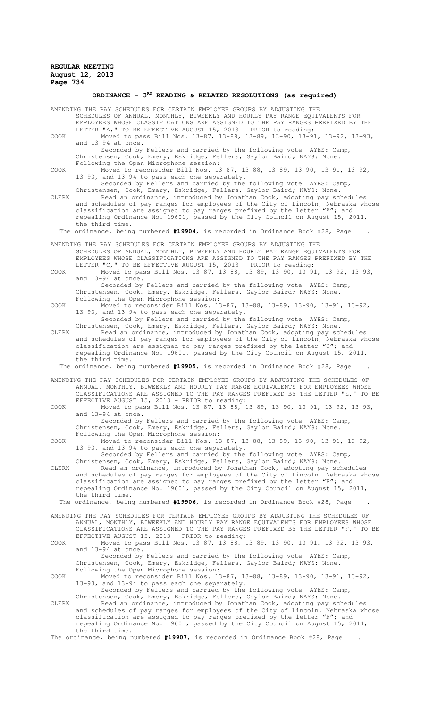# ORDINANCE - 3<sup>RD</sup> READING & RELATED RESOLUTIONS (as required)

|       | AMENDING THE PAY SCHEDULES FOR CERTAIN EMPLOYEE GROUPS BY ADJUSTING THE<br>SCHEDULES OF ANNUAL, MONTHLY, BIWEEKLY AND HOURLY PAY RANGE EQUIVALENTS FOR                                                                                                                                                                                                                                             |  |  |  |
|-------|----------------------------------------------------------------------------------------------------------------------------------------------------------------------------------------------------------------------------------------------------------------------------------------------------------------------------------------------------------------------------------------------------|--|--|--|
| COOK  | EMPLOYEES WHOSE CLASSIFICATIONS ARE ASSIGNED TO THE PAY RANGES PREFIXED BY THE<br>LETTER "A," TO BE EFFECTIVE AUGUST 15, 2013 - PRIOR to reading:<br>Moved to pass Bill Nos. 13-87, 13-88, 13-89, 13-90, 13-91, 13-92, 13-93,                                                                                                                                                                      |  |  |  |
|       | and 13-94 at once.<br>Seconded by Fellers and carried by the following vote: AYES: Camp,                                                                                                                                                                                                                                                                                                           |  |  |  |
| COOK  | Christensen, Cook, Emery, Eskridge, Fellers, Gaylor Baird; NAYS: None.<br>Following the Open Microphone session:<br>Moved to reconsider Bill Nos. 13-87, 13-88, 13-89, 13-90, 13-91, 13-92,                                                                                                                                                                                                        |  |  |  |
|       | 13-93, and 13-94 to pass each one separately.                                                                                                                                                                                                                                                                                                                                                      |  |  |  |
|       | Seconded by Fellers and carried by the following vote: AYES: Camp,<br>Christensen, Cook, Emery, Eskridge, Fellers, Gaylor Baird; NAYS: None.                                                                                                                                                                                                                                                       |  |  |  |
| CLERK | Read an ordinance, introduced by Jonathan Cook, adopting pay schedules<br>and schedules of pay ranges for employees of the City of Lincoln, Nebraska whose<br>classification are assigned to pay ranges prefixed by the letter "A"; and<br>repealing Ordinance No. 19601, passed by the City Council on August 15, 2011,<br>the third time.                                                        |  |  |  |
|       | The ordinance, being numbered #19904, is recorded in Ordinance Book #28, Page                                                                                                                                                                                                                                                                                                                      |  |  |  |
|       | AMENDING THE PAY SCHEDULES FOR CERTAIN EMPLOYEE GROUPS BY ADJUSTING THE                                                                                                                                                                                                                                                                                                                            |  |  |  |
|       | SCHEDULES OF ANNUAL, MONTHLY, BIWEEKLY AND HOURLY PAY RANGE EQUIVALENTS FOR<br>EMPLOYEES WHOSE CLASSIFICATIONS ARE ASSIGNED TO THE PAY RANGES PREFIXED BY THE<br>LETTER "C, " TO BE EFFECTIVE AUGUST 15, 2013 - PRIOR to reading:                                                                                                                                                                  |  |  |  |
| COOK  | Moved to pass Bill Nos. 13-87, 13-88, 13-89, 13-90, 13-91, 13-92, 13-93,<br>and 13-94 at once.                                                                                                                                                                                                                                                                                                     |  |  |  |
|       | Seconded by Fellers and carried by the following vote: AYES: Camp,<br>Christensen, Cook, Emery, Eskridge, Fellers, Gaylor Baird; NAYS: None.<br>Following the Open Microphone session:                                                                                                                                                                                                             |  |  |  |
| COOK  | Moved to reconsider Bill Nos. 13-87, 13-88, 13-89, 13-90, 13-91, 13-92,<br>13-93, and 13-94 to pass each one separately.                                                                                                                                                                                                                                                                           |  |  |  |
|       | Seconded by Fellers and carried by the following vote: AYES: Camp,<br>Christensen, Cook, Emery, Eskridge, Fellers, Gaylor Baird; NAYS: None.                                                                                                                                                                                                                                                       |  |  |  |
| CLERK | Read an ordinance, introduced by Jonathan Cook, adopting pay schedules<br>and schedules of pay ranges for employees of the City of Lincoln, Nebraska whose<br>classification are assigned to pay ranges prefixed by the letter "C"; and                                                                                                                                                            |  |  |  |
|       | repealing Ordinance No. 19601, passed by the City Council on August 15, 2011,                                                                                                                                                                                                                                                                                                                      |  |  |  |
|       | the third time.<br>The ordinance, being numbered #19905, is recorded in Ordinance Book #28, Page                                                                                                                                                                                                                                                                                                   |  |  |  |
|       | AMENDING THE PAY SCHEDULES FOR CERTAIN EMPLOYEE GROUPS BY ADJUSTING THE SCHEDULES OF                                                                                                                                                                                                                                                                                                               |  |  |  |
|       | ANNUAL, MONTHLY, BIWEEKLY AND HOURLY PAY RANGE EQUIVALENTS FOR EMPLOYEES WHOSE<br>CLASSIFICATIONS ARE ASSIGNED TO THE PAY RANGES PREFIXED BY THE LETTER "E," TO BE<br>EFFECTIVE AUGUST 15, 2013 - PRIOR to reading:                                                                                                                                                                                |  |  |  |
| COOK  | Moved to pass Bill Nos. 13-87, 13-88, 13-89, 13-90, 13-91, 13-92, 13-93,<br>and 13-94 at once.                                                                                                                                                                                                                                                                                                     |  |  |  |
|       | Seconded by Fellers and carried by the following vote: AYES: Camp,<br>Christensen, Cook, Emery, Eskridge, Fellers, Gaylor Baird; NAYS: None.<br>Following the Open Microphone session:                                                                                                                                                                                                             |  |  |  |
| COOK  | Moved to reconsider Bill Nos. 13-87, 13-88, 13-89, 13-90, 13-91, 13-92,<br>13-93, and 13-94 to pass each one separately.                                                                                                                                                                                                                                                                           |  |  |  |
|       | Seconded by Fellers and carried by the following vote: AYES: Camp,<br>Christensen, Cook, Emery, Eskridge, Fellers, Gaylor Baird; NAYS: None.                                                                                                                                                                                                                                                       |  |  |  |
| CLERK | Read an ordinance, introduced by Jonathan Cook, adopting pay schedules<br>and schedules of pay ranges for employees of the City of Lincoln, Nebraska whose<br>classification are assigned to pay ranges prefixed by the letter "E"; and<br>repealing Ordinance No. 19601, passed by the City Council on August 15, 2011,                                                                           |  |  |  |
|       | the third time.                                                                                                                                                                                                                                                                                                                                                                                    |  |  |  |
|       | The ordinance, being numbered #19906, is recorded in Ordinance Book #28, Page                                                                                                                                                                                                                                                                                                                      |  |  |  |
|       | AMENDING THE PAY SCHEDULES FOR CERTAIN EMPLOYEE GROUPS BY ADJUSTING THE SCHEDULES OF<br>ANNUAL, MONTHLY, BIWEEKLY AND HOURLY PAY RANGE EQUIVALENTS FOR EMPLOYEES WHOSE<br>CLASSIFICATIONS ARE ASSIGNED TO THE PAY RANGES PREFIXED BY THE LETTER "F," TO BE                                                                                                                                         |  |  |  |
| COOK  | EFFECTIVE AUGUST 15, 2013 - PRIOR to reading:<br>Moved to pass Bill Nos. 13-87, 13-88, 13-89, 13-90, 13-91, 13-92, 13-93,<br>and 13-94 at once.                                                                                                                                                                                                                                                    |  |  |  |
|       | Seconded by Fellers and carried by the following vote: AYES: Camp,<br>Christensen, Cook, Emery, Eskridge, Fellers, Gaylor Baird; NAYS: None.                                                                                                                                                                                                                                                       |  |  |  |
| COOK  | Following the Open Microphone session:<br>Moved to reconsider Bill Nos. 13-87, 13-88, 13-89, 13-90, 13-91, 13-92,                                                                                                                                                                                                                                                                                  |  |  |  |
|       | 13-93, and 13-94 to pass each one separately.<br>Seconded by Fellers and carried by the following vote: AYES: Camp,                                                                                                                                                                                                                                                                                |  |  |  |
| CLERK | Christensen, Cook, Emery, Eskridge, Fellers, Gaylor Baird; NAYS: None.<br>Read an ordinance, introduced by Jonathan Cook, adopting pay schedules<br>and schedules of pay ranges for employees of the City of Lincoln, Nebraska whose<br>classification are assigned to pay ranges prefixed by the letter "F"; and<br>repealing Ordinance No. 19601, passed by the City Council on August 15, 2011, |  |  |  |
|       | the third time.<br>The ordinance, being numbered #19907, is recorded in Ordinance Book #28, Page                                                                                                                                                                                                                                                                                                   |  |  |  |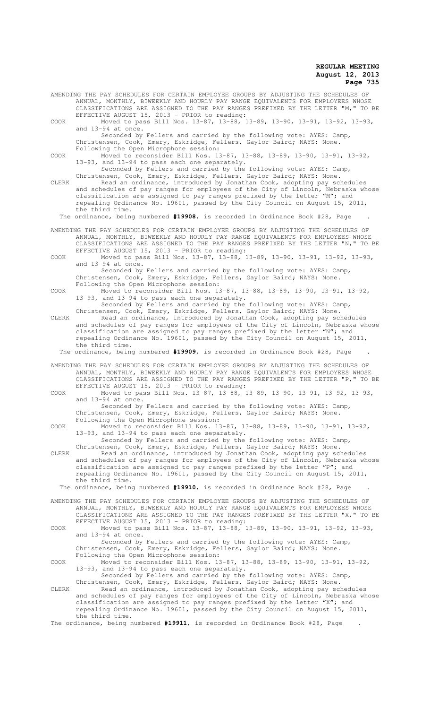AMENDING THE PAY SCHEDULES FOR CERTAIN EMPLOYEE GROUPS BY ADJUSTING THE SCHEDULES OF ANNUAL, MONTHLY, BIWEEKLY AND HOURLY PAY RANGE EQUIVALENTS FOR EMPLOYEES WHOSE CLASSIFICATIONS ARE ASSIGNED TO THE PAY RANGES PREFIXED BY THE LETTER "M," TO BE EFFECTIVE AUGUST 15, 2013 - PRIOR to reading: COOK Moved to pass Bill Nos. 13-87, 13-88, 13-89, 13-90, 13-91, 13-92, 13-93, and  $13-94$  at once. Seconded by Fellers and carried by the following vote: AYES: Camp, Christensen, Cook, Emery, Eskridge, Fellers, Gaylor Baird; NAYS: None. Following the Open Microphone session: COOK Moved to reconsider Bill Nos. 13-87, 13-88, 13-89, 13-90, 13-91, 13-92, 13-93, and 13-94 to pass each one separately. Seconded by Fellers and carried by the following vote: AYES: Camp, Christensen, Cook, Emery, Eskridge, Fellers, Gaylor Baird; NAYS: None. CLERK Read an ordinance, introduced by Jonathan Cook, adopting pay schedules and schedules of pay ranges for employees of the City of Lincoln, Nebraska whose classification are assigned to pay ranges prefixed by the letter "M"; and repealing Ordinance No. 19601, passed by the City Council on August 15, 2011, the third time. The ordinance, being numbered **#19908**, is recorded in Ordinance Book #28, Page . AMENDING THE PAY SCHEDULES FOR CERTAIN EMPLOYEE GROUPS BY ADJUSTING THE SCHEDULES OF ANNUAL, MONTHLY, BIWEEKLY AND HOURLY PAY RANGE EQUIVALENTS FOR EMPLOYEES WHOSE CLASSIFICATIONS ARE ASSIGNED TO THE PAY RANGES PREFIXED BY THE LETTER "N," TO BE EFFECTIVE AUGUST 15, 2013 - PRIOR to reading: COOK Moved to pass Bill Nos. 13-87, 13-88, 13-89, 13-90, 13-91, 13-92, 13-93, and 13-94 at once. Seconded by Fellers and carried by the following vote: AYES: Camp, Christensen, Cook, Emery, Eskridge, Fellers, Gaylor Baird; NAYS: None. Following the Open Microphone session: COOK Moved to reconsider Bill Nos. 13-87, 13-88, 13-89, 13-90, 13-91, 13-92, 13-93, and 13-94 to pass each one separately. Seconded by Fellers and carried by the following vote: AYES: Camp, Christensen, Cook, Emery, Eskridge, Fellers, Gaylor Baird; NAYS: None. CLERK Read an ordinance, introduced by Jonathan Cook, adopting pay schedules and schedules of pay ranges for employees of the City of Lincoln, Nebraska whose classification are assigned to pay ranges prefixed by the letter "N"; and repealing Ordinance No. 19601, passed by the City Council on August 15, 2011, the third time. The ordinance, being numbered **#19909**, is recorded in Ordinance Book #28, Page . AMENDING THE PAY SCHEDULES FOR CERTAIN EMPLOYEE GROUPS BY ADJUSTING THE SCHEDULES OF ANNUAL, MONTHLY, BIWEEKLY AND HOURLY PAY RANGE EQUIVALENTS FOR EMPLOYEES WHOSE CLASSIFICATIONS ARE ASSIGNED TO THE PAY RANGES PREFIXED BY THE LETTER "P," TO BE EFFECTIVE AUGUST 15, 2013 - PRIOR to reading: COOK Moved to pass Bill Nos. 13-87, 13-88, 13-89, 13-90, 13-91, 13-92, 13-93, and 13-94 at once. Seconded by Fellers and carried by the following vote: AYES: Camp, Christensen, Cook, Emery, Eskridge, Fellers, Gaylor Baird; NAYS: None. Following the Open Microphone session: COOK Moved to reconsider Bill Nos. 13-87, 13-88, 13-89, 13-90, 13-91, 13-92, 13-93, and 13-94 to pass each one separately. Seconded by Fellers and carried by the following vote: AYES: Camp, Christensen, Cook, Emery, Eskridge, Fellers, Gaylor Baird; NAYS: None. CLERK Read an ordinance, introduced by Jonathan Cook, adopting pay schedules and schedules of pay ranges for employees of the City of Lincoln, Nebraska whose classification are assigned to pay ranges prefixed by the letter "P"; and repealing Ordinance No. 19601, passed by the City Council on August 15, 2011, the third time. The ordinance, being numbered **#19910**, is recorded in Ordinance Book #28, Page . AMENDING THE PAY SCHEDULES FOR CERTAIN EMPLOYEE GROUPS BY ADJUSTING THE SCHEDULES OF ANNUAL, MONTHLY, BIWEEKLY AND HOURLY PAY RANGE EQUIVALENTS FOR EMPLOYEES WHOSE CLASSIFICATIONS ARE ASSIGNED TO THE PAY RANGES PREFIXED BY THE LETTER "X," TO BE EFFECTIVE AUGUST 15, 2013 - PRIOR to reading: COOK Moved to pass Bill Nos. 13-87, 13-88, 13-89, 13-90, 13-91, 13-92, 13-93, and 13-94 at once. Seconded by Fellers and carried by the following vote: AYES: Camp, Christensen, Cook, Emery, Eskridge, Fellers, Gaylor Baird; NAYS: None. Following the Open Microphone session: COOK Moved to reconsider Bill Nos. 13-87, 13-88, 13-89, 13-90, 13-91, 13-92, 13-93, and 13-94 to pass each one separately. Seconded by Fellers and carried by the following vote: AYES: Camp, Christensen, Cook, Emery, Eskridge, Fellers, Gaylor Baird; NAYS: None. CLERK Read an ordinance, introduced by Jonathan Cook, adopting pay schedules and schedules of pay ranges for employees of the City of Lincoln, Nebraska whose classification are assigned to pay ranges prefixed by the letter "X"; and repealing Ordinance No. 19601, passed by the City Council on August 15, 2011, the third time. The ordinance, being numbered **#19911**, is recorded in Ordinance Book #28, Page .